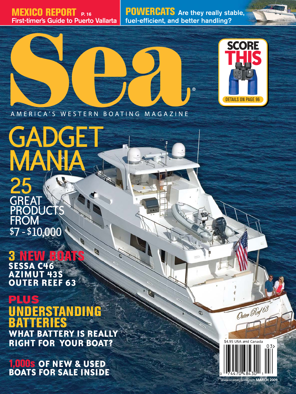**MEXICO REPORT P. 16 First-timer's Guide to Puerto Vallarta**

**POWERCATS Are they really stable, fuel-efficient, and better handling?**



AMERICA'S WESTERN BOATING MAGAZINE

MANIA 25 **GREAT PRODUCTS FROM** \$7 - \$10,000

GADGET

**3 NEW BOATS SESSA C46 AZIMUT 43S OUTER REEF 63**

**PLUS ERSTANDIN BATTERIES WHAT BATTERY IS REALLY RIGHT FOR YOUR BOAT?**

**1,000s OF NEW & USED BOATS FOR SALE INSIDE**



Outer Red 63

azine.com **MARCH 2009**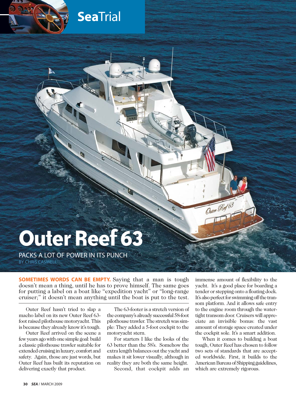

**Sea**Trial

# **Outer Reef 63**

PACKS A LOT OF POWER IN ITS PUNCH BY CHRIS CASWELL

**SOMETIMES WORDS CAN BE EMPTY.** Saying that a man is tough doesn't mean a thing, until he has to prove himself. The same goes for putting a label on a boat like "expedition yacht" or "long-range cruiser;" it doesn't mean anything until the boat is put to the test.

Outer Reef hasn't tried to slap a macho label on its new Outer Reef 63 foot raised pilothouse motoryacht. This is because they already know it's tough.

Outer Reef arrived on the scene a few years ago with one simple goal: build a classic pilothouse trawler suitable for extended cruising in luxury, comfort and safety. Again, those are just words, but Outer Reef has built its reputation on delivering exactly that product.

The 63-footer is a stretch version of the company's already successful 58-foot pilothouse trawler. The stretch was simple: They added a 5-foot cockpit to the motoryacht stern.

For starters I like the looks of the 63 better than the 58's. Somehow the extra length balances out the yacht and makes it sit lower visually, although in reality they are both the same height.

Second, that cockpit adds an

immense amount of flexibility to the yacht. It's a good place for boarding a tender or stepping onto a floating dock. It's also perfect for swimming off the transom platform. And it allows safe entry to the engine room through the watertight transom door. Cruisers will appreciate an invisible bonus: the vast amount of storage space created under the cockpit sole. It's a smart addition.

When it comes to building a boat tough, Outer Reef has chosen to follow two sets of standards that are accepted worldwide. First, it builds to the American Bureau of Shipping guidelines, which are extremely rigorous.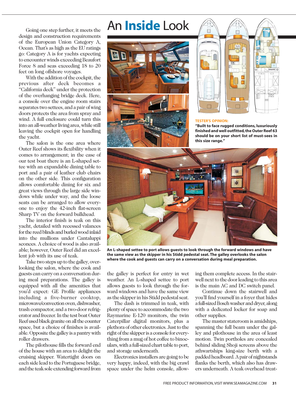## An **Inside** Look

Going one step further, it meets the design and construction requirements of the European Union Category A, Ocean. That's as high as the EU ratings go: Category A is for yachts expecting to encounter winds exceeding Beaufort Force 8 and seas exceeding 18 to 20 feet on long offshore voyages.

With the addition of the cockpit, the previous after deck becomes a "California deck" under the protection of the overhanging bridge deck. Here, a console over the engine room stairs separates two settees, and a pair of wing doors protects the area from spray and wind. A full enclosure could turn this into an all-weather living area, while still leaving the cockpit open for handling the yacht.

The salon is the one area where Outer Reef shows its flexibility when it comes to arrangement; in the case of our test boat there is an L-shaped settee with an expandable dining table to port and a pair of leather club chairs on the other side. This configuration allows comfortable dining for six and great views through the large side windows while under way, and the loose seats can be arranged to allow everyone to enjoy the 42-inch flat-screen Sharp TV on the forward bulkhead.

The interior finish is teak on this yacht, detailed with recessed valances for the reed blinds and burled wood inlaid into the mullions under Cantaluppi sconces. A choice of wood is also available; however, Outer Reef did an excellent job with its use of teak.

Take two steps up to the galley, overlooking the salon, where the cook and guests can carry on a conversation during meal preparations. The galley is equipped with all the amenities that you'd expect: GE Profile appliances including a five-burner cooktop, microwave/convection oven, dishwasher, trash compactor, and a two-door refrigerator and freezer. In the test boat Outer Reef used black granite on all the counter space, but a choice of finishes is available. Opposite the galley is a pantry with roller drawers.

The pilothouse fills the forward end of the house with an area to delight the cruising skipper. Watertight doors on each side lead to the Portuguese bridge, and the teak sole extending forward from





#### **TESTER'S OPINION:**

**"Built to face rugged conditions, luxuriously finished and well outfitted, the Outer Reef 63 should be on your short list of must-sees in this size range."**



**An L-shaped settee to port allows guests to look through the forward windows and have the same view as the skipper in his Stidd pedestal seat. The galley overlooks the salon where the cook and guests can carry on a conversation during meal preparation.**

the galley is perfect for entry in wet weather. An L-shaped settee to port allows guests to look through the forward windows and have the same view as the skipper in his Stidd pedestal seat.

The dash is trimmed in teak, with plenty of space to accommodate the two Raymarine E-120 monitors, the twin Caterpillar digital monitors, plus a plethora of other electronics. Just to the right of the skipper is a console for everything from a mug of hot coffee to binoculars, with a full-sized chart table to port, and storage underneath.

Electronics installers are going to be very happy, indeed, with the big crawl space under the helm console, allowing them complete access. In the stairwell next to the door leading to this area is the main AC and DC switch panel.

Continue down the stairwell and you'll find yourself in a foyer that hides a full-sized Bosch washer and dryer, along with a dedicated locker for soap and other supplies.

The master stateroom is amidships, spanning the full beam under the galley and pilothouse in the area of least motion. Twin portholes are concealed behind sliding Shoji screens above the athwartships king-size berth with a padded headboard. A pair of nightstands flanks the berth, which also has drawers underneath. A teak overhead treat-